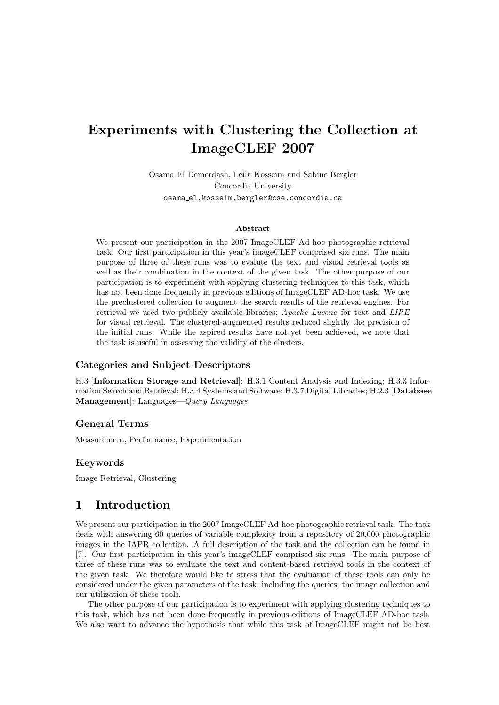# Experiments with Clustering the Collection at ImageCLEF 2007

Osama El Demerdash, Leila Kosseim and Sabine Bergler Concordia University osama el,kosseim,bergler@cse.concordia.ca

#### Abstract

We present our participation in the 2007 ImageCLEF Ad-hoc photographic retrieval task. Our first participation in this year's imageCLEF comprised six runs. The main purpose of three of these runs was to evalute the text and visual retrieval tools as well as their combination in the context of the given task. The other purpose of our participation is to experiment with applying clustering techniques to this task, which has not been done frequently in previous editions of ImageCLEF AD-hoc task. We use the preclustered collection to augment the search results of the retrieval engines. For retrieval we used two publicly available libraries; Apache Lucene for text and LIRE for visual retrieval. The clustered-augmented results reduced slightly the precision of the initial runs. While the aspired results have not yet been achieved, we note that the task is useful in assessing the validity of the clusters.

### Categories and Subject Descriptors

H.3 [Information Storage and Retrieval]: H.3.1 Content Analysis and Indexing; H.3.3 Information Search and Retrieval; H.3.4 Systems and Software; H.3.7 Digital Libraries; H.2.3 [Database Management]: Languages—Query Languages

#### General Terms

Measurement, Performance, Experimentation

#### Keywords

Image Retrieval, Clustering

# 1 Introduction

We present our participation in the 2007 ImageCLEF Ad-hoc photographic retrieval task. The task deals with answering 60 queries of variable complexity from a repository of 20,000 photographic images in the IAPR collection. A full description of the task and the collection can be found in [7]. Our first participation in this year's imageCLEF comprised six runs. The main purpose of three of these runs was to evaluate the text and content-based retrieval tools in the context of the given task. We therefore would like to stress that the evaluation of these tools can only be considered under the given parameters of the task, including the queries, the image collection and our utilization of these tools.

The other purpose of our participation is to experiment with applying clustering techniques to this task, which has not been done frequently in previous editions of ImageCLEF AD-hoc task. We also want to advance the hypothesis that while this task of ImageCLEF might not be best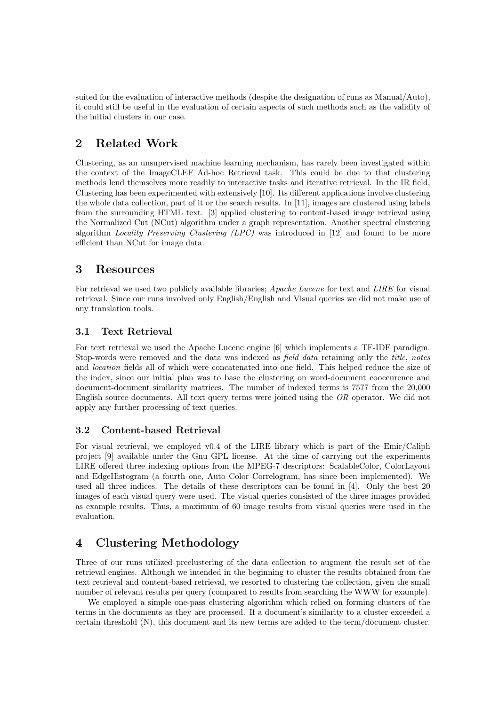suited for the evaluation of interactive methods (despite the designation of runs as Manual/Auto), it could still be useful in the evaluation of certain aspects of such methods such as the validity of the initial clusters in our case.

# 2 Related Work

Clustering, as an unsupervised machine learning mechanism, has rarely been investigated within the context of the ImageCLEF Ad-hoc Retrieval task. This could be due to that clustering methods lend themselves more readily to interactive tasks and iterative retrieval. In the IR field, Clustering has been experimented with extensively [10]. Its different applications involve clustering the whole data collection, part of it or the search results. In [11], images are clustered using labels from the surrounding HTML text. [3] applied clustering to content-based image retrieval using the Normalized Cut (NCut) algorithm under a graph representation. Another spectral clustering algorithm Locality Preserving Clustering (LPC) was introduced in [12] and found to be more efficient than NCut for image data.

# 3 Resources

For retrieval we used two publicly available libraries; *Apache Lucene* for text and *LIRE* for visual retrieval. Since our runs involved only English/English and Visual queries we did not make use of any translation tools.

# 3.1 Text Retrieval

For text retrieval we used the Apache Lucene engine [6] which implements a TF-IDF paradigm. Stop-words were removed and the data was indexed as field data retaining only the title, notes and location fields all of which were concatenated into one field. This helped reduce the size of the index, since our initial plan was to base the clustering on word-document cooccurence and document-document similarity matrices. The number of indexed terms is 7577 from the 20,000 English source documents. All text query terms were joined using the OR operator. We did not apply any further processing of text queries.

# 3.2 Content-based Retrieval

For visual retrieval, we employed v0.4 of the LIRE library which is part of the Emir/Caliph project [9] available under the Gnu GPL license. At the time of carrying out the experiments LIRE offered three indexing options from the MPEG-7 descriptors: ScalableColor, ColorLayout and EdgeHistogram (a fourth one, Auto Color Correlogram, has since been implemented). We used all three indices. The details of these descriptors can be found in [4]. Only the best 20 images of each visual query were used. The visual queries consisted of the three images provided as example results. Thus, a maximum of 60 image results from visual queries were used in the evaluation.

# 4 Clustering Methodology

Three of our runs utilized preclustering of the data collection to augment the result set of the retrieval engines. Although we intended in the beginning to cluster the results obtained from the text retrieval and content-based retrieval, we resorted to clustering the collection, given the small number of relevant results per query (compared to results from searching the WWW for example).

We employed a simple one-pass clustering algorithm which relied on forming clusters of the terms in the documents as they are processed. If a document's similarity to a cluster exceeded a certain threshold (N), this document and its new terms are added to the term/document cluster.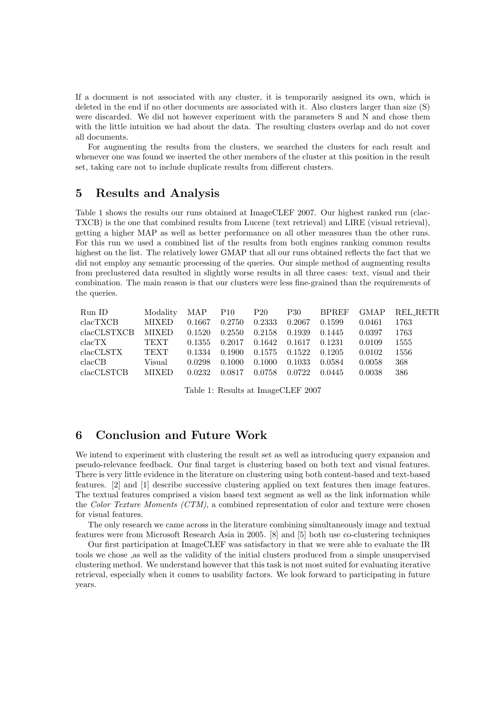If a document is not associated with any cluster, it is temporarily assigned its own, which is deleted in the end if no other documents are associated with it. Also clusters larger than size (S) were discarded. We did not however experiment with the parameters S and N and chose them with the little intuition we had about the data. The resulting clusters overlap and do not cover all documents.

For augmenting the results from the clusters, we searched the clusters for each result and whenever one was found we inserted the other members of the cluster at this position in the result set, taking care not to include duplicate results from different clusters.

### 5 Results and Analysis

Table 1 shows the results our runs obtained at ImageCLEF 2007. Our highest ranked run (clac-TXCB) is the one that combined results from Lucene (text retrieval) and LIRE (visual retrieval), getting a higher MAP as well as better performance on all other measures than the other runs. For this run we used a combined list of the results from both engines ranking common results highest on the list. The relatively lower GMAP that all our runs obtained reflects the fact that we did not employ any semantic processing of the queries. Our simple method of augmenting results from preclustered data resulted in slightly worse results in all three cases: text, visual and their combination. The main reason is that our clusters were less fine-grained than the requirements of the queries.

| Run ID             | Modality     | MAP P10 |        | $P_{20}$ | <b>P30</b> | <b>BPREF</b> | GMAP.  | REL RETR |
|--------------------|--------------|---------|--------|----------|------------|--------------|--------|----------|
| clacTXCB           | <b>MIXED</b> | 0.1667  | 0.2750 | 0.2333   | 0.2067     | 0.1599       | 0.0461 | 1763     |
| clacCLSTXCB        | <b>MIXED</b> | 0.1520  | 0.2550 | 0.2158   | 0.1939     | 0.1445       | 0.0397 | 1763     |
| clacTX             | <b>TEXT</b>  | 0.1355  | 0.2017 | 0.1642   | 0.1617     | 0.1231       | 0.0109 | 1555     |
| $_{\rm clacCLSTX}$ | TEXT         | 0.1334  | 0.1900 | 0.1575   | 0.1522     | 0.1205       | 0.0102 | 1556     |
| $_{\rm clacCB}$    | Visual       | 0.0298  | 0.1000 | 0.1000   | 0.1033     | 0.0584       | 0.0058 | 368      |
| clacCLSTCB         | <b>MIXED</b> | 0.0232  | 0.0817 | 0.0758   | 0.0722     | 0.0445       | 0.0038 | 386      |

Table 1: Results at ImageCLEF 2007

# 6 Conclusion and Future Work

We intend to experiment with clustering the result set as well as introducing query expansion and pseudo-relevance feedback. Our final target is clustering based on both text and visual features. There is very little evidence in the literature on clustering using both content-based and text-based features. [2] and [1] describe successive clustering applied on text features then image features. The textual features comprised a vision based text segment as well as the link information while the Color Texture Moments (CTM), a combined representation of color and texture were chosen for visual features.

The only research we came across in the literature combining simultaneously image and textual features were from Microsoft Research Asia in 2005. [8] and [5] both use co-clustering techniques

Our first participation at ImageCLEF was satisfactory in that we were able to evaluate the IR tools we chose ,as well as the validity of the initial clusters produced from a simple unsupervised clustering method. We understand however that this task is not most suited for evaluating iterative retrieval, especially when it comes to usability factors. We look forward to participating in future years.